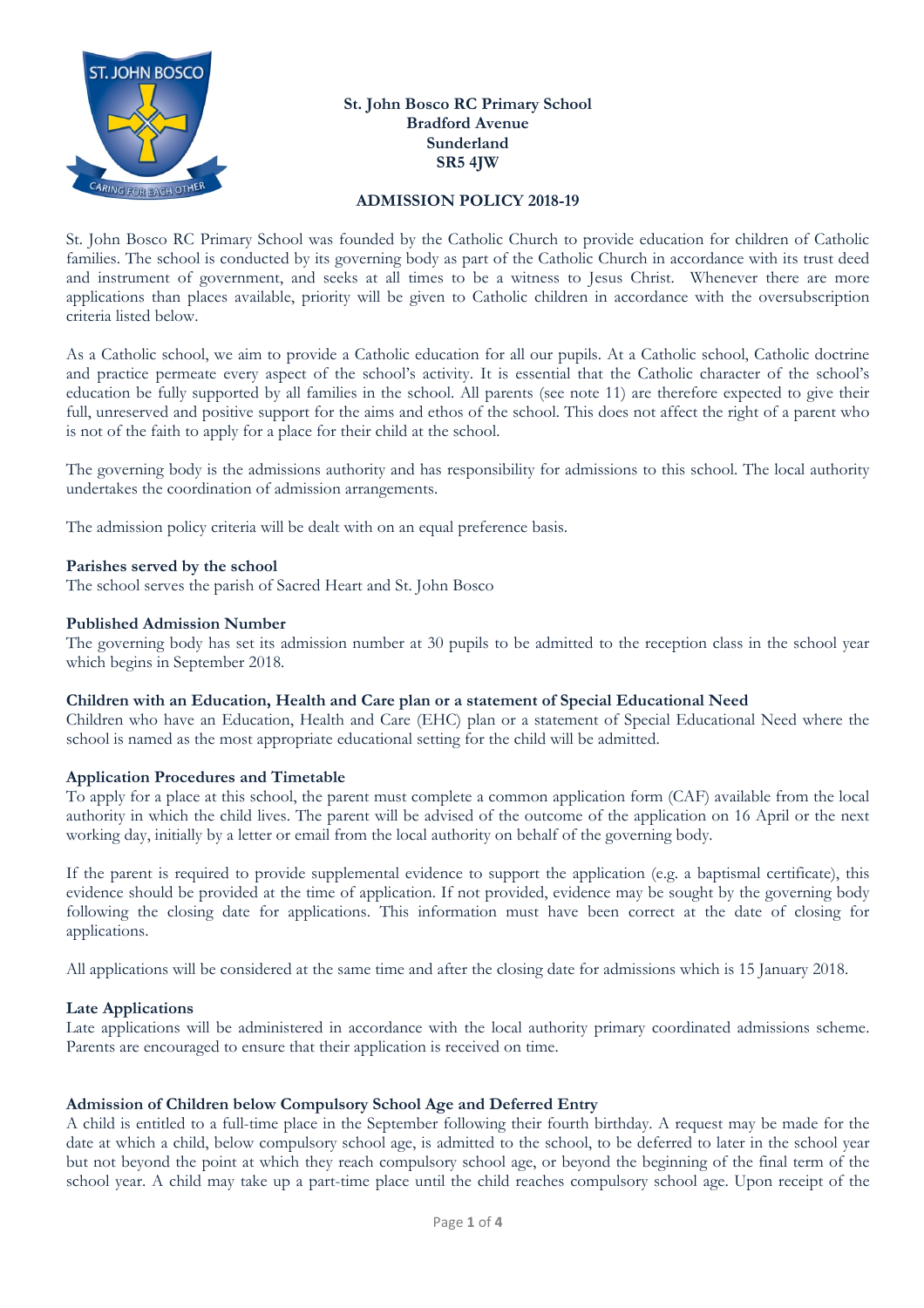

## **St. John Bosco RC Primary School Bradford Avenue Sunderland SR5 4JW**

### **ADMISSION POLICY 2018-19**

St. John Bosco RC Primary School was founded by the Catholic Church to provide education for children of Catholic families. The school is conducted by its governing body as part of the Catholic Church in accordance with its trust deed and instrument of government, and seeks at all times to be a witness to Jesus Christ. Whenever there are more applications than places available, priority will be given to Catholic children in accordance with the oversubscription criteria listed below.

As a Catholic school, we aim to provide a Catholic education for all our pupils. At a Catholic school, Catholic doctrine and practice permeate every aspect of the school's activity. It is essential that the Catholic character of the school's education be fully supported by all families in the school. All parents (see note 11) are therefore expected to give their full, unreserved and positive support for the aims and ethos of the school. This does not affect the right of a parent who is not of the faith to apply for a place for their child at the school.

The governing body is the admissions authority and has responsibility for admissions to this school. The local authority undertakes the coordination of admission arrangements.

The admission policy criteria will be dealt with on an equal preference basis.

## **Parishes served by the school**

The school serves the parish of Sacred Heart and St. John Bosco

#### **Published Admission Number**

The governing body has set its admission number at 30 pupils to be admitted to the reception class in the school year which begins in September 2018.

#### **Children with an Education, Health and Care plan or a statement of Special Educational Need**

Children who have an Education, Health and Care (EHC) plan or a statement of Special Educational Need where the school is named as the most appropriate educational setting for the child will be admitted.

## **Application Procedures and Timetable**

To apply for a place at this school, the parent must complete a common application form (CAF) available from the local authority in which the child lives. The parent will be advised of the outcome of the application on 16 April or the next working day, initially by a letter or email from the local authority on behalf of the governing body.

If the parent is required to provide supplemental evidence to support the application (e.g. a baptismal certificate), this evidence should be provided at the time of application. If not provided, evidence may be sought by the governing body following the closing date for applications. This information must have been correct at the date of closing for applications.

All applications will be considered at the same time and after the closing date for admissions which is 15 January 2018.

## **Late Applications**

Late applications will be administered in accordance with the local authority primary coordinated admissions scheme. Parents are encouraged to ensure that their application is received on time.

## **Admission of Children below Compulsory School Age and Deferred Entry**

A child is entitled to a full-time place in the September following their fourth birthday. A request may be made for the date at which a child, below compulsory school age, is admitted to the school, to be deferred to later in the school year but not beyond the point at which they reach compulsory school age, or beyond the beginning of the final term of the school year. A child may take up a part-time place until the child reaches compulsory school age. Upon receipt of the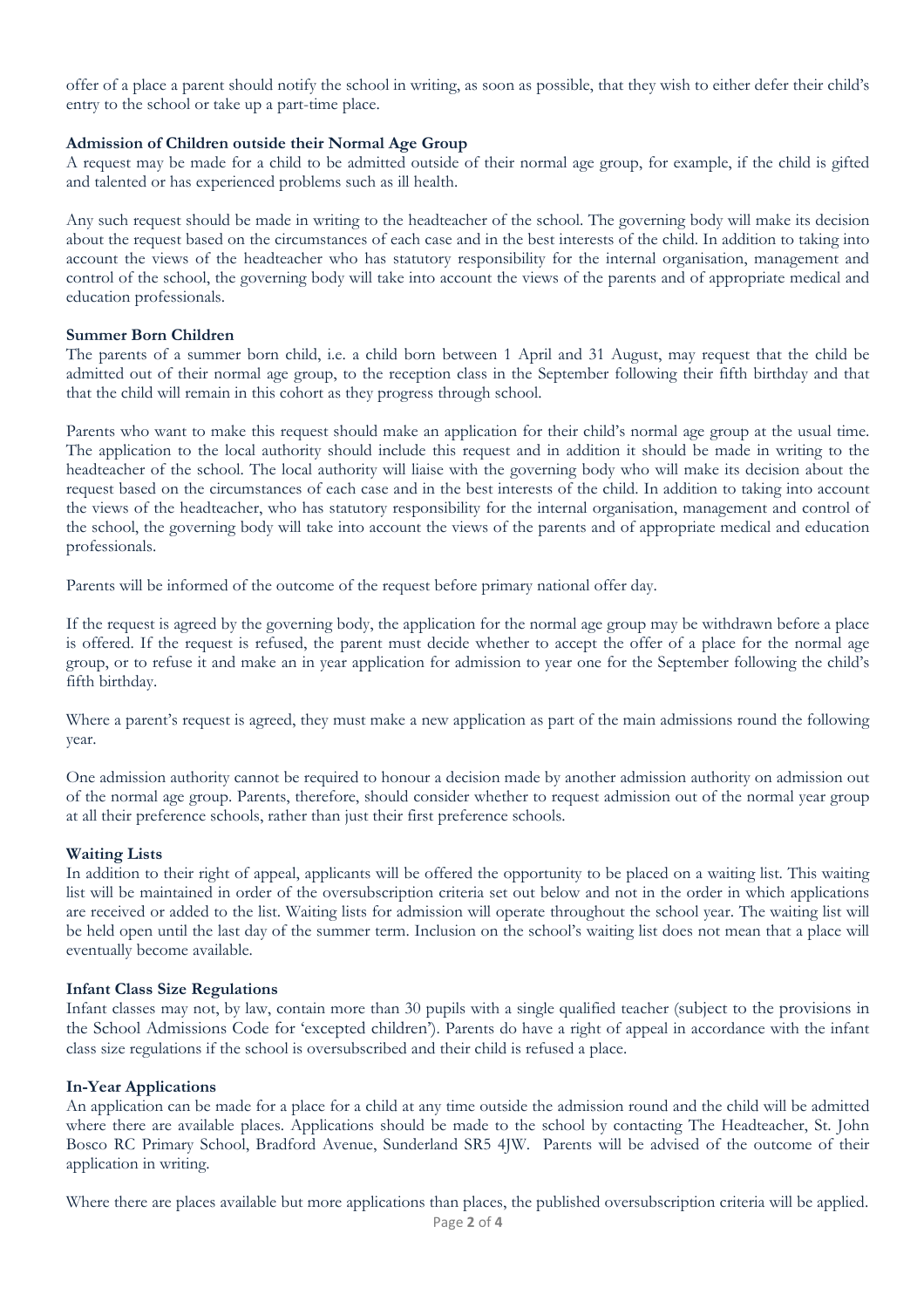offer of a place a parent should notify the school in writing, as soon as possible, that they wish to either defer their child's entry to the school or take up a part-time place.

#### **Admission of Children outside their Normal Age Group**

A request may be made for a child to be admitted outside of their normal age group, for example, if the child is gifted and talented or has experienced problems such as ill health.

Any such request should be made in writing to the headteacher of the school. The governing body will make its decision about the request based on the circumstances of each case and in the best interests of the child. In addition to taking into account the views of the headteacher who has statutory responsibility for the internal organisation, management and control of the school, the governing body will take into account the views of the parents and of appropriate medical and education professionals.

#### **Summer Born Children**

The parents of a summer born child, i.e. a child born between 1 April and 31 August, may request that the child be admitted out of their normal age group, to the reception class in the September following their fifth birthday and that that the child will remain in this cohort as they progress through school.

Parents who want to make this request should make an application for their child's normal age group at the usual time. The application to the local authority should include this request and in addition it should be made in writing to the headteacher of the school. The local authority will liaise with the governing body who will make its decision about the request based on the circumstances of each case and in the best interests of the child. In addition to taking into account the views of the headteacher, who has statutory responsibility for the internal organisation, management and control of the school, the governing body will take into account the views of the parents and of appropriate medical and education professionals.

Parents will be informed of the outcome of the request before primary national offer day.

If the request is agreed by the governing body, the application for the normal age group may be withdrawn before a place is offered. If the request is refused, the parent must decide whether to accept the offer of a place for the normal age group, or to refuse it and make an in year application for admission to year one for the September following the child's fifth birthday.

Where a parent's request is agreed, they must make a new application as part of the main admissions round the following year.

One admission authority cannot be required to honour a decision made by another admission authority on admission out of the normal age group. Parents, therefore, should consider whether to request admission out of the normal year group at all their preference schools, rather than just their first preference schools.

## **Waiting Lists**

In addition to their right of appeal, applicants will be offered the opportunity to be placed on a waiting list. This waiting list will be maintained in order of the oversubscription criteria set out below and not in the order in which applications are received or added to the list. Waiting lists for admission will operate throughout the school year. The waiting list will be held open until the last day of the summer term. Inclusion on the school's waiting list does not mean that a place will eventually become available.

#### **Infant Class Size Regulations**

Infant classes may not, by law, contain more than 30 pupils with a single qualified teacher (subject to the provisions in the School Admissions Code for 'excepted children'). Parents do have a right of appeal in accordance with the infant class size regulations if the school is oversubscribed and their child is refused a place.

#### **In-Year Applications**

An application can be made for a place for a child at any time outside the admission round and the child will be admitted where there are available places. Applications should be made to the school by contacting The Headteacher, St. John Bosco RC Primary School, Bradford Avenue, Sunderland SR5 4JW. Parents will be advised of the outcome of their application in writing.

Where there are places available but more applications than places, the published oversubscription criteria will be applied.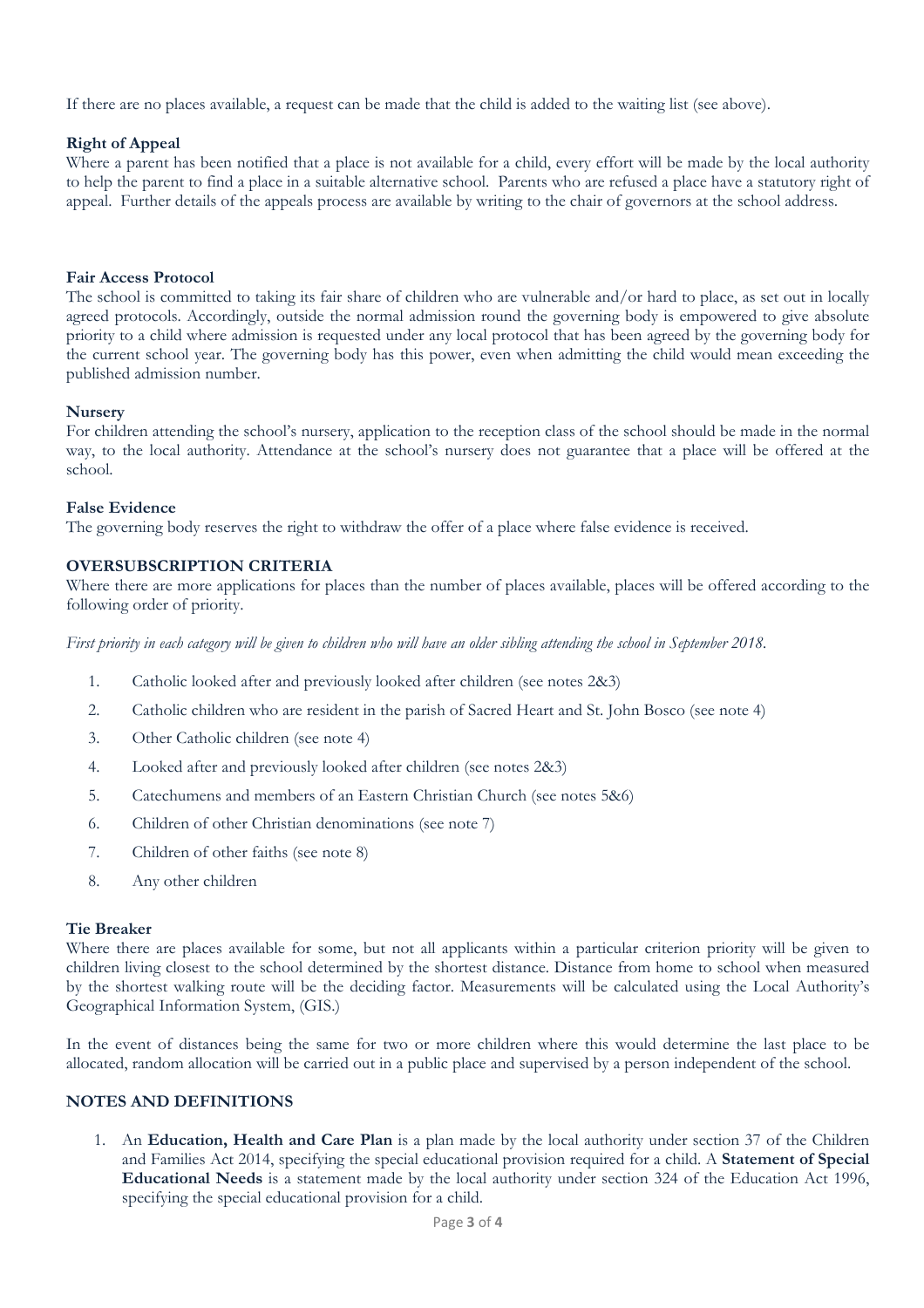If there are no places available, a request can be made that the child is added to the waiting list (see above).

## **Right of Appeal**

Where a parent has been notified that a place is not available for a child, every effort will be made by the local authority to help the parent to find a place in a suitable alternative school. Parents who are refused a place have a statutory right of appeal. Further details of the appeals process are available by writing to the chair of governors at the school address.

## **Fair Access Protocol**

The school is committed to taking its fair share of children who are vulnerable and/or hard to place, as set out in locally agreed protocols. Accordingly, outside the normal admission round the governing body is empowered to give absolute priority to a child where admission is requested under any local protocol that has been agreed by the governing body for the current school year. The governing body has this power, even when admitting the child would mean exceeding the published admission number.

## **Nursery**

For children attending the school's nursery, application to the reception class of the school should be made in the normal way, to the local authority. Attendance at the school's nursery does not guarantee that a place will be offered at the school.

## **False Evidence**

The governing body reserves the right to withdraw the offer of a place where false evidence is received.

## **OVERSUBSCRIPTION CRITERIA**

Where there are more applications for places than the number of places available, places will be offered according to the following order of priority.

*First priority in each category will be given to children who will have an older sibling attending the school in September 2018.* 

- 1. Catholic looked after and previously looked after children (see notes 2&3)
- 2. Catholic children who are resident in the parish of Sacred Heart and St. John Bosco (see note 4)
- 3. Other Catholic children (see note 4)
- 4. Looked after and previously looked after children (see notes 2&3)
- 5. Catechumens and members of an Eastern Christian Church (see notes 5&6)
- 6. Children of other Christian denominations (see note 7)
- 7. Children of other faiths (see note 8)
- 8. Any other children

## **Tie Breaker**

Where there are places available for some, but not all applicants within a particular criterion priority will be given to children living closest to the school determined by the shortest distance. Distance from home to school when measured by the shortest walking route will be the deciding factor. Measurements will be calculated using the Local Authority's Geographical Information System, (GIS.)

In the event of distances being the same for two or more children where this would determine the last place to be allocated, random allocation will be carried out in a public place and supervised by a person independent of the school.

# **NOTES AND DEFINITIONS**

1. An **Education, Health and Care Plan** is a plan made by the local authority under section 37 of the Children and Families Act 2014, specifying the special educational provision required for a child. A **Statement of Special Educational Needs** is a statement made by the local authority under section 324 of the Education Act 1996, specifying the special educational provision for a child.